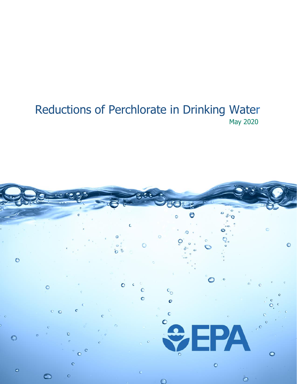# Reductions of Perchlorate in Drinking Water May 2020

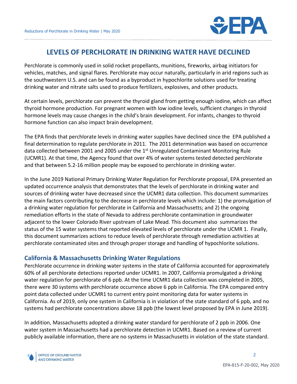

## **LEVELS OF PERCHLORATE IN DRINKING WATER HAVE DECLINED**

Perchlorate is commonly used in solid rocket propellants, munitions, fireworks, airbag initiators for vehicles, matches, and signal flares. Perchlorate may occur naturally, particularly in arid regions such as the southwestern U.S. and can be found as a byproduct in hypochlorite solutions used for treating drinking water and nitrate salts used to produce fertilizers, explosives, and other products.

At certain levels, perchlorate can prevent the thyroid gland from getting enough iodine, which can affect thyroid hormone production. For pregnant women with low iodine levels, sufficient changes in thyroid hormone levels may cause changes in the child's brain development. For infants, changes to thyroid hormone function can also impact brain development.

The EPA finds that perchlorate levels in drinking water supplies have declined since the EPA published a final determination to regulate perchlorate in 2011. The 2011 determination was based on occurrence data collected between 2001 and 2005 under the 1<sup>st</sup> Unregulated Contaminant Monitoring Rule (UCMR1). At that time, the Agency found that over 4% of water systems tested detected perchlorate and that between 5.2-16 million people may be exposed to perchlorate in drinking water.

In the June 2019 National Primary Drinking Water Regulation for Perchlorate proposal, EPA presented an updated occurrence analysis that demonstrates that the levels of perchlorate in drinking water and sources of drinking water have decreased since the UCMR1 data collection. This document summarizes the main factors contributing to the decrease in perchlorate levels which include: 1) the promulgation of a drinking water regulation for perchlorate in California and Massachusetts; and 2) the ongoing remediation efforts in the state of Nevada to address perchlorate contamination in groundwater adjacent to the lower Colorado River upstream of Lake Mead. This document also summarizes the status of the 15 water systems that reported elevated levels of perchlorate under the UCMR 1. Finally, this document summarizes actions to reduce levels of perchlorate through remediation activities at perchlorate contaminated sites and through proper storage and handling of hypochlorite solutions.

## **California & Massachusetts Drinking Water Regulations**

Perchlorate occurrence in drinking water systems in the state of California accounted for approximately 60% of all perchlorate detections reported under UCMR1. In 2007, California promulgated a drinking water regulation for perchlorate of 6 ppb. At the time UCMR1 data collection was completed in 2005, there were 30 systems with perchlorate occurrence above 6 ppb in California. The EPA compared entry point data collected under UCMR1 to current entry point monitoring data for water systems in California. As of 2019, only one system in California is in violation of the state standard of 6 ppb, and no systems had perchlorate concentrations above 18 ppb (the lowest level proposed by EPA in June 2019).

In addition, Massachusetts adopted a drinking water standard for perchlorate of 2 ppb in 2006. One water system in Massachusetts had a perchlorate detection in UCMR1. Based on a review of current publicly available information, there are no systems in Massachusetts in violation of the state standard.

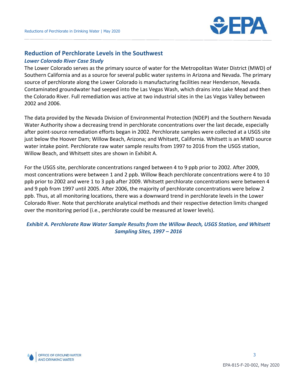

## **Reduction of Perchlorate Levels in the Southwest**

#### *Lower Colorado River Case Study*

The Lower Colorado serves as the primary source of water for the Metropolitan Water District (MWD) of Southern California and as a source for several public water systems in Arizona and Nevada. The primary source of perchlorate along the Lower Colorado is manufacturing facilities near Henderson, Nevada. Contaminated groundwater had seeped into the Las Vegas Wash, which drains into Lake Mead and then the Colorado River. Full remediation was active at two industrial sites in the Las Vegas Valley between 2002 and 2006.

The data provided by the Nevada Division of Environmental Protection (NDEP) and the Southern Nevada Water Authority show a decreasing trend in perchlorate concentrations over the last decade, especially after point-source remediation efforts began in 2002. Perchlorate samples were collected at a USGS site just below the Hoover Dam; Willow Beach, Arizona; and Whitsett, California. Whitsett is an MWD source water intake point. Perchlorate raw water sample results from 1997 to 2016 from the USGS station, Willow Beach, and Whitsett sites are shown in Exhibit A.

For the USGS site, perchlorate concentrations ranged between 4 to 9 ppb prior to 2002. After 2009, most concentrations were between 1 and 2 ppb. Willow Beach perchlorate concentrations were 4 to 10 ppb prior to 2002 and were 1 to 3 ppb after 2009. Whitsett perchlorate concentrations were between 4 and 9 ppb from 1997 until 2005. After 2006, the majority of perchlorate concentrations were below 2 ppb. Thus, at all monitoring locations, there was a downward trend in perchlorate levels in the Lower Colorado River. Note that perchlorate analytical methods and their respective detection limits changed over the monitoring period (i.e., perchlorate could be measured at lower levels).

#### *Exhibit A. Perchlorate Raw Water Sample Results from the Willow Beach, USGS Station, and Whitsett Sampling Sites, 1997 – 2016*

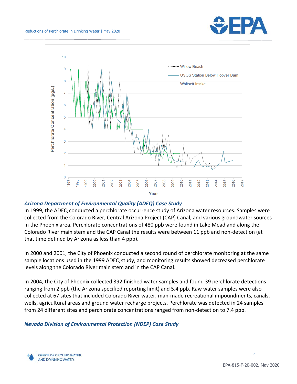



#### *Arizona Department of Environmental Quality (ADEQ) Case Study*

In 1999, the ADEQ conducted a perchlorate occurrence study of Arizona water resources. Samples were collected from the Colorado River, Central Arizona Project (CAP) Canal, and various groundwater sources in the Phoenix area. Perchlorate concentrations of 480 ppb were found in Lake Mead and along the Colorado River main stem and the CAP Canal the results were between 11 ppb and non-detection (at that time defined by Arizona as less than 4 ppb).

In 2000 and 2001, the City of Phoenix conducted a second round of perchlorate monitoring at the same sample locations used in the 1999 ADEQ study, and monitoring results showed decreased perchlorate levels along the Colorado River main stem and in the CAP Canal.

In 2004, the City of Phoenix collected 392 finished water samples and found 39 perchlorate detections ranging from 2 ppb (the Arizona specified reporting limit) and 5.4 ppb. Raw water samples were also collected at 67 sites that included Colorado River water, man-made recreational impoundments, canals, wells, agricultural areas and ground water recharge projects. Perchlorate was detected in 24 samples from 24 different sites and perchlorate concentrations ranged from non-detection to 7.4 ppb.

#### *Nevada Division of Environmental Protection (NDEP) Case Study*

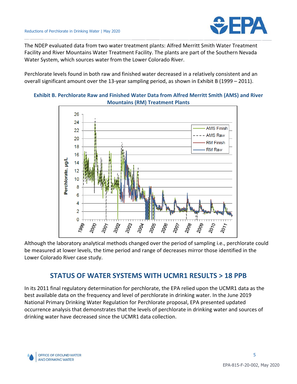

The NDEP evaluated data from two water treatment plants: Alfred Merritt Smith Water Treatment Facility and River Mountains Water Treatment Facility. The plants are part of the Southern Nevada Water System, which sources water from the Lower Colorado River.

Perchlorate levels found in both raw and finished water decreased in a relatively consistent and an overall significant amount over the 13-year sampling period, as shown in Exhibit B (1999 – 2011).



#### **Exhibit B. Perchlorate Raw and Finished Water Data from Alfred Merritt Smith (AMS) and River Mountains (RM) Treatment Plants**

Although the laboratory analytical methods changed over the period of sampling i.e., perchlorate could be measured at lower levels, the time period and range of decreases mirror those identified in the Lower Colorado River case study.

## **STATUS OF WATER SYSTEMS WITH UCMR1 RESULTS > 18 PPB**

In its 2011 final regulatory determination for perchlorate, the EPA relied upon the UCMR1 data as the best available data on the frequency and level of perchlorate in drinking water. In the June 2019 National Primary Drinking Water Regulation for Perchlorate proposal, EPA presented updated occurrence analysis that demonstrates that the levels of perchlorate in drinking water and sources of drinking water have decreased since the UCMR1 data collection.

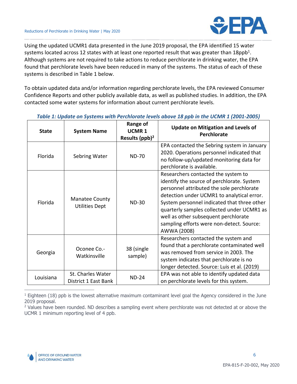

Using the updated UCMR1 data presented in the June 2019 proposal, the EPA identified 15 water systems located across 12 states with at least one reported result that was greater than 18ppb<sup>1</sup>. Although systems are not required to take actions to reduce perchlorate in drinking water, the EPA found that perchlorate levels have been reduced in many of the systems. The status of each of these systems is described in Table 1 below.

To obtain updated data and/or information regarding perchlorate levels, the EPA reviewed Consumer Confidence Reports and other publicly available data, as well as published studies. In addition, the EPA contacted some water systems for information about current perchlorate levels.

| <b>State</b> | <b>System Name</b>                             | Range of<br><b>UCMR1</b><br>Results $(ppb)^2$ | <b>Update on Mitigation and Levels of</b><br><b>Perchlorate</b>                                                                                                                                                                                                                                                                                                               |
|--------------|------------------------------------------------|-----------------------------------------------|-------------------------------------------------------------------------------------------------------------------------------------------------------------------------------------------------------------------------------------------------------------------------------------------------------------------------------------------------------------------------------|
| Florida      | Sebring Water                                  | <b>ND-70</b>                                  | EPA contacted the Sebring system in January<br>2020. Operations personnel indicated that<br>no follow-up/updated monitoring data for<br>perchlorate is available.                                                                                                                                                                                                             |
| Florida      | <b>Manatee County</b><br><b>Utilities Dept</b> | <b>ND-30</b>                                  | Researchers contacted the system to<br>identify the source of perchlorate. System<br>personnel attributed the sole perchlorate<br>detection under UCMR1 to analytical error.<br>System personnel indicated that three other<br>quarterly samples collected under UCMR1 as<br>well as other subsequent perchlorate<br>sampling efforts were non-detect. Source:<br>AWWA (2008) |
| Georgia      | Oconee Co.-<br>Watkinsville                    | 38 (single<br>sample)                         | Researchers contacted the system and<br>found that a perchlorate contaminated well<br>was removed from service in 2003. The<br>system indicates that perchlorate is no<br>longer detected. Source: Luis et al. (2019)                                                                                                                                                         |
| Louisiana    | St. Charles Water<br>District 1 East Bank      | <b>ND-24</b>                                  | EPA was not able to identify updated data<br>on perchlorate levels for this system.                                                                                                                                                                                                                                                                                           |

#### *Table 1: Update on Systems with Perchlorate levels above 18 ppb in the UCMR 1 (2001-2005)*

 $1$  Eighteen (18) ppb is the lowest alternative maximum contaminant level goal the Agency considered in the June 2019 proposal.

<sup>2</sup> Values have been rounded. ND describes a sampling event where perchlorate was not detected at or above the UCMR 1 minimum reporting level of 4 ppb.



 $\overline{a}$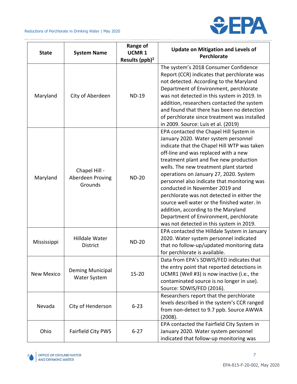

Τ

| <b>State</b>      | <b>System Name</b>                           | <b>Range of</b><br><b>UCMR1</b><br>Results (ppb) <sup>2</sup> | <b>Update on Mitigation and Levels of</b><br><b>Perchlorate</b>                                                                                                                                                                                                                                                                                                                                                                                                                                                                                                                                                  |
|-------------------|----------------------------------------------|---------------------------------------------------------------|------------------------------------------------------------------------------------------------------------------------------------------------------------------------------------------------------------------------------------------------------------------------------------------------------------------------------------------------------------------------------------------------------------------------------------------------------------------------------------------------------------------------------------------------------------------------------------------------------------------|
| Maryland          | City of Aberdeen                             | <b>ND-19</b>                                                  | The system's 2018 Consumer Confidence<br>Report (CCR) indicates that perchlorate was<br>not detected. According to the Maryland<br>Department of Environment, perchlorate<br>was not detected in this system in 2019. In<br>addition, researchers contacted the system<br>and found that there has been no detection<br>of perchlorate since treatment was installed<br>in 2009. Source: Luis et al. (2019)                                                                                                                                                                                                      |
| Maryland          | Chapel Hill -<br>Aberdeen Proving<br>Grounds | <b>ND-20</b>                                                  | EPA contacted the Chapel Hill System in<br>January 2020. Water system personnel<br>indicate that the Chapel Hill WTP was taken<br>off-line and was replaced with a new<br>treatment plant and five new production<br>wells. The new treatment plant started<br>operations on January 27, 2020. System<br>personnel also indicate that monitoring was<br>conducted in November 2019 and<br>perchlorate was not detected in either the<br>source well water or the finished water. In<br>addition, according to the Maryland<br>Department of Environment, perchlorate<br>was not detected in this system in 2019. |
| Mississippi       | Hilldale Water<br><b>District</b>            | <b>ND-20</b>                                                  | EPA contacted the Hilldale System in January<br>2020. Water system personnel indicated<br>that no follow-up/updated monitoring data<br>for perchlorate is available.                                                                                                                                                                                                                                                                                                                                                                                                                                             |
| <b>New Mexico</b> | Deming Municipal<br><b>Water System</b>      | $15 - 20$                                                     | Data from EPA's SDWIS/FED indicates that<br>the entry point that reported detections in<br>UCMR1 (Well #3) is now inactive (i.e., the<br>contaminated source is no longer in use).<br>Source: SDWIS/FED (2016).                                                                                                                                                                                                                                                                                                                                                                                                  |
| Nevada            | City of Henderson                            | $6 - 23$                                                      | Researchers report that the perchlorate<br>levels described in the system's CCR ranged<br>from non-detect to 9.7 ppb. Source AWWA<br>(2008).                                                                                                                                                                                                                                                                                                                                                                                                                                                                     |
| Ohio              | Fairfield City PWS                           | $6 - 27$                                                      | EPA contacted the Fairfield City System in<br>January 2020. Water system personnel<br>indicated that follow-up monitoring was                                                                                                                                                                                                                                                                                                                                                                                                                                                                                    |

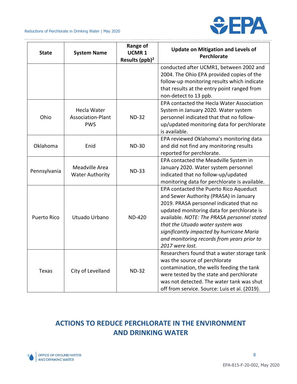

| <b>State</b>       | <b>System Name</b>                       | Range of<br>UCMR <sub>1</sub> | <b>Update on Mitigation and Levels of</b><br><b>Perchlorate</b> |  |  |
|--------------------|------------------------------------------|-------------------------------|-----------------------------------------------------------------|--|--|
|                    |                                          | Results (ppb) <sup>2</sup>    |                                                                 |  |  |
|                    |                                          |                               | conducted after UCMR1, between 2002 and                         |  |  |
|                    |                                          |                               | 2004. The Ohio EPA provided copies of the                       |  |  |
|                    |                                          |                               | follow-up monitoring results which indicate                     |  |  |
|                    |                                          |                               | that results at the entry point ranged from                     |  |  |
|                    |                                          |                               | non-detect to 13 ppb.                                           |  |  |
|                    |                                          |                               | EPA contacted the Hecla Water Association                       |  |  |
|                    | Hecla Water                              |                               | System in January 2020. Water system                            |  |  |
| Ohio               | Association-Plant                        | <b>ND-32</b>                  | personnel indicated that that no follow-                        |  |  |
|                    | <b>PWS</b>                               |                               | up/updated monitoring data for perchlorate                      |  |  |
|                    |                                          |                               | is available.                                                   |  |  |
|                    |                                          |                               | EPA reviewed Oklahoma's monitoring data                         |  |  |
| Oklahoma           | Enid                                     | <b>ND-30</b>                  | and did not find any monitoring results                         |  |  |
|                    |                                          |                               | reported for perchlorate.                                       |  |  |
|                    | Meadville Area<br><b>Water Authority</b> | <b>ND-33</b>                  | EPA contacted the Meadville System in                           |  |  |
| Pennsylvania       |                                          |                               | January 2020. Water system personnel                            |  |  |
|                    |                                          |                               | indicated that no follow-up/updated                             |  |  |
|                    |                                          |                               | monitoring data for perchlorate is available.                   |  |  |
|                    |                                          |                               | EPA contacted the Puerto Rico Aqueduct                          |  |  |
|                    | Utuado Urbano                            | <b>ND-420</b>                 | and Sewer Authority (PRASA) in January                          |  |  |
| <b>Puerto Rico</b> |                                          |                               | 2019. PRASA personnel indicated that no                         |  |  |
|                    |                                          |                               | updated monitoring data for perchlorate is                      |  |  |
|                    |                                          |                               | available. NOTE: The PRASA personnel stated                     |  |  |
|                    |                                          |                               | that the Utuado water system was                                |  |  |
|                    |                                          |                               | significantly impacted by hurricane Maria                       |  |  |
|                    |                                          |                               | and monitoring records from years prior to                      |  |  |
|                    |                                          |                               | 2017 were lost.                                                 |  |  |
|                    | City of Levelland                        |                               | Researchers found that a water storage tank                     |  |  |
| <b>Texas</b>       |                                          | <b>ND-32</b>                  | was the source of perchlorate                                   |  |  |
|                    |                                          |                               | contamination, the wells feeding the tank                       |  |  |
|                    |                                          |                               | were tested by the state and perchlorate                        |  |  |
|                    |                                          |                               | was not detected. The water tank was shut                       |  |  |
|                    |                                          |                               | off from service. Source: Luis et al. (2019).                   |  |  |

# **ACTIONS TO REDUCE PERCHLORATE IN THE ENVIRONMENT AND DRINKING WATER**

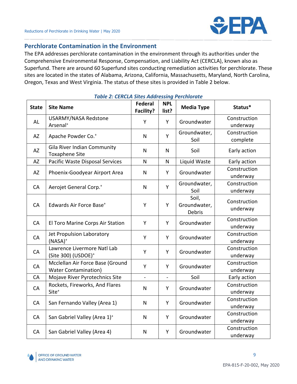

## **Perchlorate Contamination in the Environment**

The EPA addresses perchlorate contamination in the environment through its authorities under the Comprehensive Environmental Response, Compensation, and Liability Act (CERCLA), known also as Superfund. There are around 60 Superfund sites conducting remediation activities for perchlorate. These sites are located in the states of Alabama, Arizona, California, Massachusetts, Maryland, North Carolina, Oregon, Texas and West Virginia. The status of these sites is provided in Table 2 below.

| <b>State</b> | <b>Site Name</b>                                                | <b>Federal</b><br>Facility? | <b>NPL</b><br>list? | <b>Media Type</b>               | Status*                  |
|--------------|-----------------------------------------------------------------|-----------------------------|---------------------|---------------------------------|--------------------------|
| <b>AL</b>    | <b>USARMY/NASA Redstone</b><br>Arsenal <sup>+</sup>             | Y                           | Y                   | Groundwater                     | Construction<br>underway |
| AZ           | Apache Powder Co. <sup>+</sup>                                  | N                           | Y                   | Groundwater,<br>Soil            | Construction<br>complete |
| <b>AZ</b>    | Gila River Indian Community<br><b>Toxaphene Site</b>            | $\mathsf{N}$                | $\mathsf{N}$        | Soil                            | Early action             |
| <b>AZ</b>    | Pacific Waste Disposal Services                                 | $\mathsf{N}$                | $\mathsf{N}$        | Liquid Waste                    | Early action             |
| AZ           | Phoenix-Goodyear Airport Area                                   | N                           | Y                   | Groundwater                     | Construction<br>underway |
| CA           | Aerojet General Corp. <sup>+</sup>                              | $\mathsf{N}$                | Y                   | Groundwater,<br>Soil            | Construction<br>underway |
| CA           | Edwards Air Force Base <sup>+</sup>                             | Y                           | Y                   | Soil,<br>Groundwater,<br>Debris | Construction<br>underway |
| CA           | El Toro Marine Corps Air Station                                | Y                           | Y                   | Groundwater                     | Construction<br>underway |
| CA           | Jet Propulsion Laboratory<br>$(NASA)^+$                         | Y                           | Y                   | Groundwater                     | Construction<br>underway |
| CA           | Lawrence Livermore Natl Lab<br>(Site 300) (USDOE) <sup>+</sup>  | Y                           | Y                   | Groundwater                     | Construction<br>underway |
| CA           | Mcclellan Air Force Base (Ground<br><b>Water Contamination)</b> | Υ                           | Y                   | Groundwater                     | Construction<br>underway |
| CA           | Mojave River Pyrotechnics Site                                  | $\overline{a}$              | $\overline{a}$      | Soil                            | Early action             |
| CA           | Rockets, Fireworks, And Flares<br>Site <sup>+</sup>             | $\mathsf{N}$                | Y                   | Groundwater                     | Construction<br>underway |
| CA           | San Fernando Valley (Area 1)                                    | N                           | Y                   | Groundwater                     | Construction<br>underway |
| CA           | San Gabriel Valley (Area 1) <sup>+</sup>                        | $\mathsf{N}$                | Y                   | Groundwater                     | Construction<br>underway |
| CA           | San Gabriel Valley (Area 4)                                     | $\mathsf{N}$                | Y                   | Groundwater                     | Construction<br>underway |

#### *Table 2: CERCLA Sites Addressing Perchlorate*

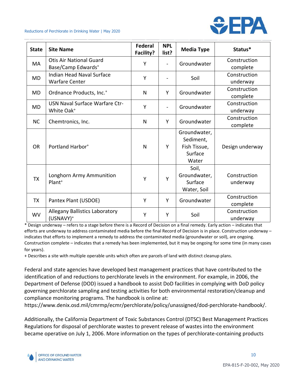



| <b>State</b> | <b>Site Name</b>                                                 | <b>Federal</b><br>Facility? | <b>NPL</b><br>list?      | <b>Media Type</b>                                             | Status*                  |
|--------------|------------------------------------------------------------------|-----------------------------|--------------------------|---------------------------------------------------------------|--------------------------|
| MA           | <b>Otis Air National Guard</b><br>Base/Camp Edwards <sup>+</sup> | Y                           | $\blacksquare$           | Groundwater                                                   | Construction<br>complete |
| <b>MD</b>    | Indian Head Naval Surface<br><b>Warfare Center</b>               | Y                           |                          | Soil                                                          | Construction<br>underway |
| <b>MD</b>    | Ordnance Products, Inc. <sup>+</sup>                             | N                           | Υ                        | Groundwater                                                   | Construction<br>complete |
| <b>MD</b>    | USN Naval Surface Warfare Ctr-<br>White Oak <sup>+</sup>         | Y                           | $\overline{\phantom{0}}$ | Groundwater                                                   | Construction<br>underway |
| <b>NC</b>    | Chemtronics, Inc.                                                | N                           | Y                        | Groundwater                                                   | Construction<br>complete |
| <b>OR</b>    | Portland Harbor <sup>+</sup>                                     | N                           | Υ                        | Groundwater,<br>Sediment,<br>Fish Tissue,<br>Surface<br>Water | Design underway          |
| <b>TX</b>    | Longhorn Army Ammunition<br>Plant <sup>+</sup>                   | Y                           | Y                        | Soil,<br>Groundwater,<br>Surface<br>Water, Soil               | Construction<br>underway |
| <b>TX</b>    | Pantex Plant (USDOE)                                             | Y                           | Y                        | Groundwater                                                   | Construction<br>complete |
| <b>WV</b>    | <b>Allegany Ballistics Laboratory</b><br>(USNAVY) <sup>+</sup>   | Y                           | Y                        | Soil                                                          | Construction<br>underway |

\* Design underway – refers to a stage before there is a Record of Decision on a final remedy. Early action – indicates that efforts are underway to address contaminated media before the final Record of Decision is in place. Construction underway – indicates that efforts to implement a remedy to address the contaminated media (groundwater or soil), are ongoing. Construction complete – indicates that a remedy has been implemented, but it may be ongoing for some time (in many cases for years).

+ Describes a site with multiple operable units which often are parcels of land with distinct cleanup plans.

Federal and state agencies have developed best management practices that have contributed to the identification of and reductions to perchlorate levels in the environment. For example, in 2006, the Department of Defense (DOD) issued a handbook to assist DoD facilities in complying with DoD policy governing perchlorate sampling and testing activities for both environmental restoration/cleanup and compliance monitoring programs. The handbook is online at:

[https://www.denix.osd.mil/cmrmp/ecmr/perchlorate/policy/unassigned/dod-perchlorate-handbook/.](https://www.denix.osd.mil/cmrmp/ecmr/perchlorate/policy/unassigned/dod-perchlorate-handbook/)

Additionally, the California Department of Toxic Substances Control (DTSC) Best Management Practices Regulations for disposal of perchlorate wastes to prevent release of wastes into the environment became operative on July 1, 2006. More information on the types of perchlorate-containing products

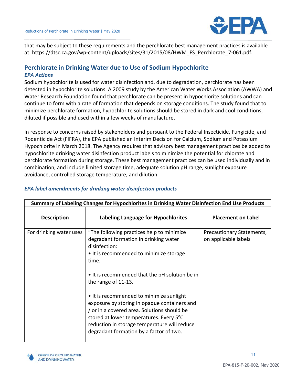

that may be subject to these requirements and the perchlorate best management practices is available at: [https://dtsc.ca.gov/wp-content/uploads/sites/31/2015/08/HWM\\_FS\\_Perchlorate\\_7-061.pdf.](https://dtsc.ca.gov/wp-content/uploads/sites/31/2015/08/HWM_FS_Perchlorate_7-061.pdf)

### **Perchlorate in Drinking Water due to Use of Sodium Hypochlorite** *EPA Actions*

Sodium hypochlorite is used for water disinfection and, due to degradation, perchlorate has been detected in hypochlorite solutions. A 2009 study by the American Water Works Association (AWWA) and Water Research Foundation found that perchlorate can be present in hypochlorite solutions and can continue to form with a rate of formation that depends on storage conditions. The study found that to minimize perchlorate formation, hypochlorite solutions should be stored in dark and cool conditions, diluted if possible and used within a few weeks of manufacture.

In response to concerns raised by stakeholders and pursuant to the Federal Insecticide, Fungicide, and Rodenticide Act (FIFRA), the EPA published an Interim Decision for Calcium, Sodium and Potassium Hypochlorite in March 2018. The Agency requires that advisory best management practices be added to hypochlorite drinking water disinfection product labels to minimize the potential for chlorate and perchlorate formation during storage. These best management practices can be used individually and in combination, and include limited storage time, adequate solution pH range, sunlight exposure avoidance, controlled storage temperature, and dilution.

| Summary of Labeling Changes for Hypochlorites in Drinking Water Disinfection End Use Products |                                                                                                                                                                                                                                                                                                                                                                                                                                                                                                                 |                                                   |  |  |
|-----------------------------------------------------------------------------------------------|-----------------------------------------------------------------------------------------------------------------------------------------------------------------------------------------------------------------------------------------------------------------------------------------------------------------------------------------------------------------------------------------------------------------------------------------------------------------------------------------------------------------|---------------------------------------------------|--|--|
| <b>Description</b>                                                                            | Labeling Language for Hypochlorites                                                                                                                                                                                                                                                                                                                                                                                                                                                                             | <b>Placement on Label</b>                         |  |  |
| For drinking water uses                                                                       | "The following practices help to minimize<br>degradant formation in drinking water<br>disinfection:<br>• It is recommended to minimize storage<br>time.<br>• It is recommended that the pH solution be in<br>the range of 11-13.<br>• It is recommended to minimize sunlight<br>exposure by storing in opaque containers and<br>or in a covered area. Solutions should be<br>stored at lower temperatures. Every 5°C<br>reduction in storage temperature will reduce<br>degradant formation by a factor of two. | Precautionary Statements,<br>on applicable labels |  |  |

## *EPA label amendments for drinking water disinfection products*

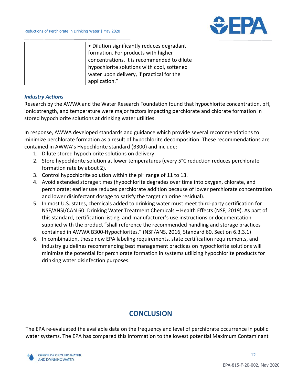

| • Dilution significantly reduces degradant  |  |
|---------------------------------------------|--|
| formation. For products with higher         |  |
| concentrations, it is recommended to dilute |  |
| hypochlorite solutions with cool, softened  |  |
| water upon delivery, if practical for the   |  |
| application."                               |  |

#### *Industry Actions*

Research by the AWWA and the Water Research Foundation found that hypochlorite concentration, pH, ionic strength, and temperature were major factors impacting perchlorate and chlorate formation in stored hypochlorite solutions at drinking water utilities.

In response, AWWA developed standards and guidance which provide several recommendations to minimize perchlorate formation as a result of hypochlorite decomposition. These recommendations are contained in AWWA's Hypochlorite standard (B300) and include:

- 1. Dilute stored hypochlorite solutions on delivery.
- 2. Store hypochlorite solution at lower temperatures (every 5°C reduction reduces perchlorate formation rate by about 2).
- 3. Control hypochlorite solution within the pH range of 11 to 13.
- 4. Avoid extended storage times (hypochlorite degrades over time into oxygen, chlorate, and perchlorate; earlier use reduces perchlorate addition because of lower perchlorate concentration and lower disinfectant dosage to satisfy the target chlorine residual).
- 5. In most U.S. states, chemicals added to drinking water must meet third-party certification for NSF/ANSI/CAN 60: Drinking Water Treatment Chemicals – Health Effects (NSF, 2019). As part of this standard, certification listing, and manufacturer's use instructions or documentation supplied with the product "shall reference the recommended handling and storage practices contained in AWWA B300-Hypochlorites." (NSF/ANS, 2016, Standard 60, Section 6.3.3.1)
- 6. In combination, these new EPA labeling requirements, state certification requirements, and industry guidelines recommending best management practices on hypochlorite solutions will minimize the potential for perchlorate formation in systems utilizing hypochlorite products for drinking water disinfection purposes.

# **CONCLUSION**

The EPA re-evaluated the available data on the frequency and level of perchlorate occurrence in public water systems. The EPA has compared this information to the lowest potential Maximum Contaminant